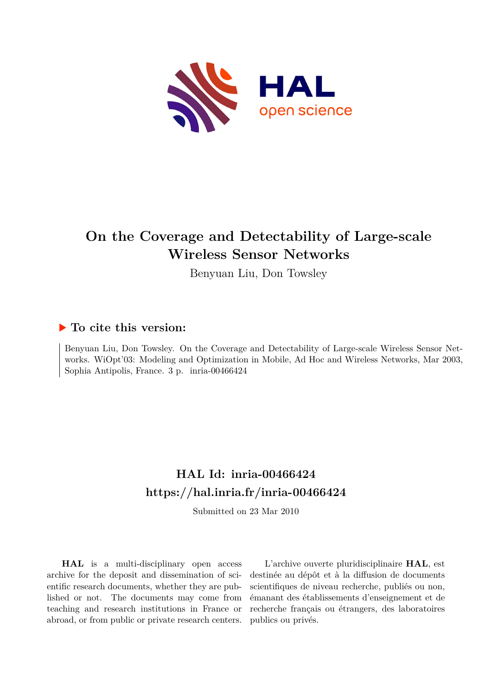

# **On the Coverage and Detectability of Large-scale Wireless Sensor Networks**

Benyuan Liu, Don Towsley

## **To cite this version:**

Benyuan Liu, Don Towsley. On the Coverage and Detectability of Large-scale Wireless Sensor Networks. WiOpt'03: Modeling and Optimization in Mobile, Ad Hoc and Wireless Networks, Mar 2003, Sophia Antipolis, France. 3 p. inria-00466424

# **HAL Id: inria-00466424 <https://hal.inria.fr/inria-00466424>**

Submitted on 23 Mar 2010

**HAL** is a multi-disciplinary open access archive for the deposit and dissemination of scientific research documents, whether they are published or not. The documents may come from teaching and research institutions in France or abroad, or from public or private research centers.

L'archive ouverte pluridisciplinaire **HAL**, est destinée au dépôt et à la diffusion de documents scientifiques de niveau recherche, publiés ou non, émanant des établissements d'enseignement et de recherche français ou étrangers, des laboratoires publics ou privés.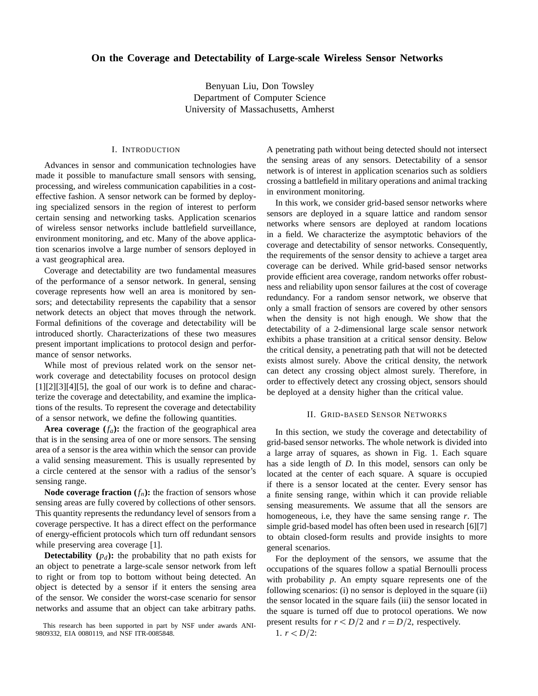### **On the Coverage and Detectability of Large-scale Wireless Sensor Networks**

Benyuan Liu, Don Towsley Department of Computer Science University of Massachusetts, Amherst

#### I. INTRODUCTION

Advances in sensor and communication technologies have made it possible to manufacture small sensors with sensing, processing, and wireless communication capabilities in a costeffective fashion. A sensor network can be formed by deploying specialized sensors in the region of interest to perform certain sensing and networking tasks. Application scenarios of wireless sensor networks include battlefield surveillance, environment monitoring, and etc. Many of the above application scenarios involve a large number of sensors deployed in a vast geographical area.

Coverage and detectability are two fundamental measures of the performance of a sensor network. In general, sensing coverage represents how well an area is monitored by sensors; and detectability represents the capability that a sensor network detects an object that moves through the network. Formal definitions of the coverage and detectability will be introduced shortly. Characterizations of these two measures present important implications to protocol design and performance of sensor networks.

While most of previous related work on the sensor network coverage and detectability focuses on protocol design  $[1][2][3][4][5]$ , the goal of our work is to define and characterize the coverage and detectability, and examine the implications of the results. To represent the coverage and detectability of a sensor network, we define the following quantities.

**Area coverage**  $(f_a)$ : the fraction of the geographical area that is in the sensing area of one or more sensors. The sensing area of a sensor is the area within which the sensor can provide a valid sensing measurement. This is usually represented by a circle centered at the sensor with a radius of the sensor's sensing range.

**Node coverage fraction**  $(f_n)$ : the fraction of sensors whose sensing areas are fully covered by collections of other sensors. This quantity represents the redundancy level of sensors from a coverage perspective. It has a direct effect on the performance of energy-efficient protocols which turn off redundant sensors while preserving area coverage [1].

**Detectability**  $(p_d)$ : the probability that no path exists for an object to penetrate a large-scale sensor network from left to right or from top to bottom without being detected. An object is detected by a sensor if it enters the sensing area of the sensor. We consider the worst-case scenario for sensor networks and assume that an object can take arbitrary paths.

A penetrating path without being detected should not intersect the sensing areas of any sensors. Detectability of a sensor network is of interest in application scenarios such as soldiers crossing a battlefield in military operations and animal tracking in environment monitoring.

In this work, we consider grid-based sensor networks where sensors are deployed in a square lattice and random sensor networks where sensors are deployed at random locations in a field. We characterize the asymptotic behaviors of the coverage and detectability of sensor networks. Consequently, the requirements of the sensor density to achieve a target area coverage can be derived. While grid-based sensor networks provide efficient area coverage, random networks offer robustness and reliability upon sensor failures at the cost of coverage redundancy. For a random sensor network, we observe that only a small fraction of sensors are covered by other sensors when the density is not high enough. We show that the detectability of a 2-dimensional large scale sensor network exhibits a phase transition at a critical sensor density. Below the critical density, a penetrating path that will not be detected exists almost surely. Above the critical density, the network can detect any crossing object almost surely. Therefore, in order to effectively detect any crossing object, sensors should be deployed at a density higher than the critical value.

#### II. GRID-BASED SENSOR NETWORKS

In this section, we study the coverage and detectability of grid-based sensor networks. The whole network is divided into a large array of squares, as shown in Fig. 1. Each square has a side length of *D*. In this model, sensors can only be located at the center of each square. A square is occupied if there is a sensor located at the center. Every sensor has a finite sensing range, within which it can provide reliable sensing measurements. We assume that all the sensors are homogeneous, i.e, they have the same sensing range *r*. The simple grid-based model has often been used in research [6][7] to obtain closed-form results and provide insights to more general scenarios.

For the deployment of the sensors, we assume that the occupations of the squares follow a spatial Bernoulli process with probability *p*. An empty square represents one of the following scenarios: (i) no sensor is deployed in the square (ii) the sensor located in the square fails (iii) the sensor located in the square is turned off due to protocol operations. We now present results for  $r < D/2$  and  $r = D/2$ , respectively. *D*2:

1. 
$$
r < D/2
$$
:

This research has been supported in part by NSF under awards ANI-9809332, EIA 0080119, and NSF ITR-0085848.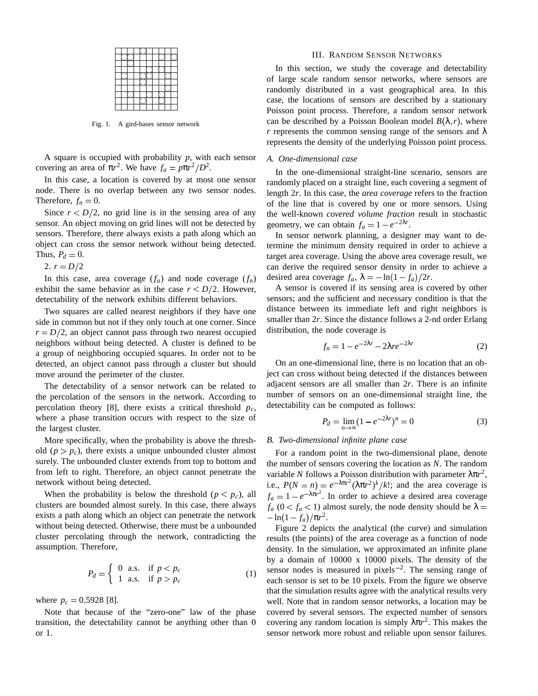Fig. 1. A gird-bases sensor network

A square is occupied with probability *p*, with each sensor covering an area of  $\pi r^2$ . We have  $f_a = p\pi r^2/D^2$ .

In this case, a location is covered by at most one sensor node. There is no overlap between any two sensor nodes. Therefore,  $f_n = 0$ .

Since  $r < D/2$ , no grid line is in the sensing area of any sensor. An object moving on grid lines will not be detected by sensors. Therefore, there always exists a path along which an object can cross the sensor network without being detected. Thus,  $P_d = 0$ .

2.  $r = D/2$ 

In this case, area coverage  $(f_a)$  and node coverage  $(f_n)$ exhibit the same behavior as in the case  $r < D/2$ . However, detectability of the network exhibits different behaviors.

Two squares are called nearest neighbors if they have one side in common but not if they only touch at one corner. Since  $r = D/2$ , an object cannot pass through two nearest occupied neighbors without being detected. A cluster is defined to be a group of neighboring occupied squares. In order not to be detected, an object cannot pass through a cluster but should move around the perimeter of the cluster.

The detectability of a sensor network can be related to the percolation of the sensors in the network. According to percolation theory [8], there exists a critical threshold  $p_c$ , where a phase transition occurs with respect to the size of the largest cluster.

More specifically, when the probability is above the threshold  $(p > p_c)$ , there exists a unique unbounded cluster almost surely. The unbounded cluster extends from top to bottom and from left to right. Therefore, an object cannot penetrate the network without being detected.

When the probability is below the threshold  $(p < p_c)$ , all  $f_a$ clusters are bounded almost surely. In this case, there always exists a path along which an object can penetrate the network without being detected. Otherwise, there must be a unbounded cluster percolating through the network, contradicting the assumption. Therefore,

$$
P_d = \begin{cases} 0 & \text{a.s.} & \text{if } p < p_c \\ 1 & \text{a.s.} & \text{if } p > p_c \end{cases} \tag{1}
$$

where  $p_c = 0.5928$  [8].

Note that because of the "zero-one" law of the phase transition, the detectability cannot be anything other than 0 or 1.

#### III. RANDOM SENSOR NETWORKS

In this section, we study the coverage and detectability of large scale random sensor networks, where sensors are randomly distributed in a vast geographical area. In this case, the locations of sensors are described by a stationary Poisson point process. Therefore, a random sensor network can be described by a Poisson Boolean model  $B(\lambda, r)$ , where *r* represents the common sensing range of the sensors and  $\lambda$ represents the density of the underlying Poisson point process.

### *A. One-dimensional case*

In the one-dimensional straight-line scenario, sensors are randomly placed on a straight line, each covering a segment of length 2*r*. In this case, the *area coverage* refers to the fraction of the line that is covered by one or more sensors. Using the well-known *covered volume fraction* result in stochastic geometry, we can obtain  $f_a = 1 - e^{-2\lambda r}$ .

In sensor network planning, a designer may want to determine the minimum density required in order to achieve a target area coverage. Using the above area coverage result, we can derive the required sensor density in order to achieve a desired area coverage  $f_a$ ,  $\lambda = -\ln(1 - f_a)/2r$ .

A sensor is covered if its sensing area is covered by other sensors; and the sufficient and necessary condition is that the distance between its immediate left and right neighbors is smaller than 2*r*. Since the distance follows a 2-nd order Erlang distribution, the node coverage is

$$
f_n = 1 - e^{-2\lambda r} - 2\lambda r e^{-2\lambda r}
$$
 (2)

On an one-dimensional line, there is no location that an object can cross without being detected if the distances between adjacent sensors are all smaller than 2*r*. There is an infinite number of sensors on an one-dimensional straight line, the detectability can be computed as follows:

$$
P_d = \lim_{n \to \infty} (1 - e^{-2\lambda r})^n = 0 \tag{3}
$$

#### *B. Two-dimensional infinite plane case*

For a random point in the two-dimensional plane, denote the number of sensors covering the location as *N*. The random variable *N* follows a Poisson distribution with parameter  $\lambda \pi r^2$ , i.e.,  $P(N = n) = e^{-\lambda \pi r^2} (\lambda \pi r^2)^k / k!$ ; and the area coverage is  $f_a = 1 - e^{-\lambda \pi r^2}$ . In order to achieve a desired area coverage  $f_a$  ( $0 < f_a < 1$ ) almost surely, the node density should be  $\lambda$  $-\ln(1-f_a)/\pi r^2$ .

Figure 2 depicts the analytical (the curve) and simulation results (the points) of the area coverage as a function of node density. In the simulation, we approximated an infinite plane by a domain of 10000 x 10000 pixels. The density of the sensor nodes is measured in pixels<sup> $-2$ </sup>. The sensing range of each sensor is set to be 10 pixels. From the figure we observe that the simulation results agree with the analytical results very well. Note that in random sensor networks, a location may be covered by several sensors. The expected number of sensors covering any random location is simply  $\lambda \pi r^2$ . This makes the sensor network more robust and reliable upon sensor failures.